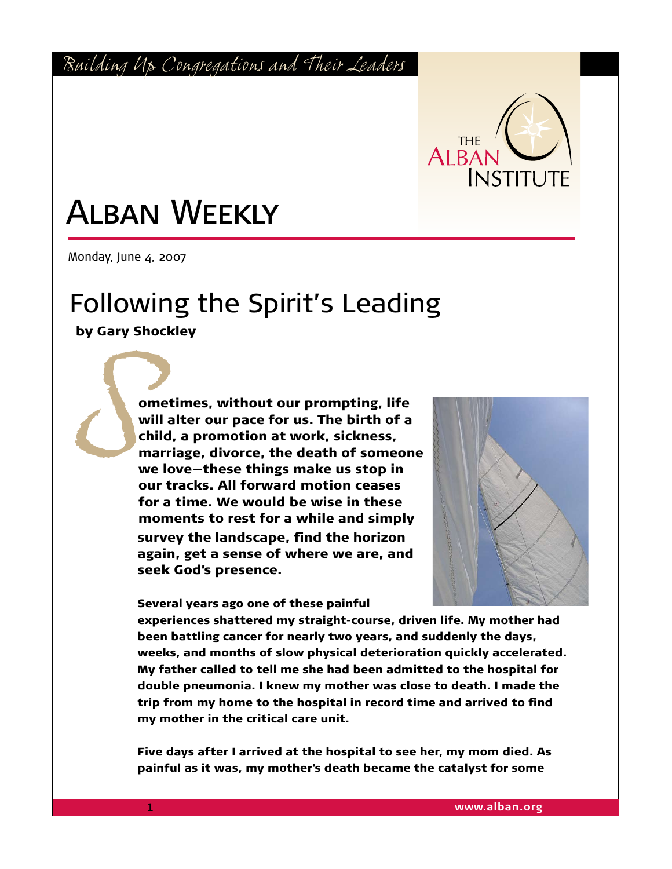*Building Up Congregations and Their Leaders*



## Alban Weekly

Monday, June  $4$ , 2007

## Following the Spirit's Leading

by Gary Shockley

*S* ometimes, without our prompting, life will alter our pace for us. The birth of a child, a promotion at work, sickness, marriage, divorce, the death of someone we love—these things make us stop in our tracks. All forward motion ceases for a time. We would be wise in these moments to rest for a while and simply survey the landscape, find the horizon again, get a sense of where we are, and seek God's presence.

Several years ago one of these painful



experiences shattered my straight-course, driven life. My mother had been battling cancer for nearly two years, and suddenly the days, weeks, and months of slow physical deterioration quickly accelerated. My father called to tell me she had been admitted to the hospital for double pneumonia. I knew my mother was close to death. I made the trip from my home to the hospital in record time and arrived to find my mother in the critical care unit.

Five days after I arrived at the hospital to see her, my mom died. As painful as it was, my mother's death became the catalyst for some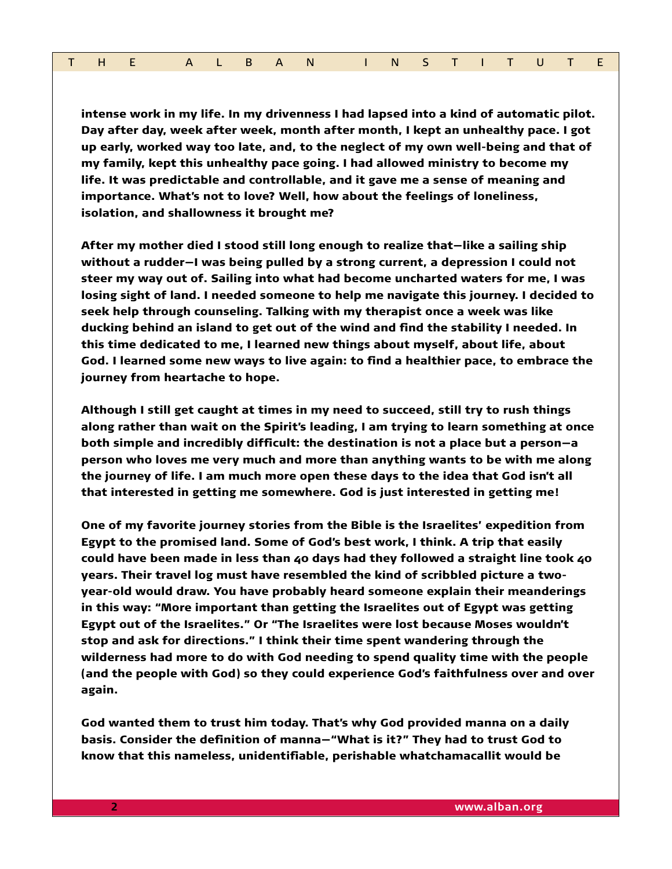|  |  |  |  |  |  |  |  | THE ALBAN INSTITUTE |  |  |  |  |  |  |  |  |
|--|--|--|--|--|--|--|--|---------------------|--|--|--|--|--|--|--|--|
|--|--|--|--|--|--|--|--|---------------------|--|--|--|--|--|--|--|--|

intense work in my life. In my drivenness I had lapsed into a kind of automatic pilot. Day after day, week after week, month after month, I kept an unhealthy pace. I got up early, worked way too late, and, to the neglect of my own well-being and that of my family, kept this unhealthy pace going. I had allowed ministry to become my life. It was predictable and controllable, and it gave me a sense of meaning and importance. What's not to love? Well, how about the feelings of loneliness, isolation, and shallowness it brought me?

After my mother died I stood still long enough to realize that—like a sailing ship without a rudder—I was being pulled by a strong current, a depression I could not steer my way out of. Sailing into what had become uncharted waters for me, I was losing sight of land. I needed someone to help me navigate this journey. I decided to seek help through counseling. Talking with my therapist once a week was like ducking behind an island to get out of the wind and find the stability I needed. In this time dedicated to me, I learned new things about myself, about life, about God. I learned some new ways to live again: to find a healthier pace, to embrace the journey from heartache to hope.

Although I still get caught at times in my need to succeed, still try to rush things along rather than wait on the Spirit's leading, I am trying to learn something at once both simple and incredibly difficult: the destination is not a place but a person—a person who loves me very much and more than anything wants to be with me along the journey of life. I am much more open these days to the idea that God isn't all that interested in getting me somewhere. God is just interested in getting me!

One of my favorite journey stories from the Bible is the Israelites' expedition from Egypt to the promised land. Some of God's best work, I think. A trip that easily could have been made in less than 40 days had they followed a straight line took 40 years. Their travel log must have resembled the kind of scribbled picture a twoyear-old would draw. You have probably heard someone explain their meanderings in this way: "More important than getting the Israelites out of Egypt was getting Egypt out of the Israelites." Or "The Israelites were lost because Moses wouldn't stop and ask for directions." I think their time spent wandering through the wilderness had more to do with God needing to spend quality time with the people (and the people with God) so they could experience God's faithfulness over and over again.

God wanted them to trust him today. That's why God provided manna on a daily basis. Consider the definition of manna—"What is it?" They had to trust God to know that this nameless, unidentifiable, perishable whatchamacallit would be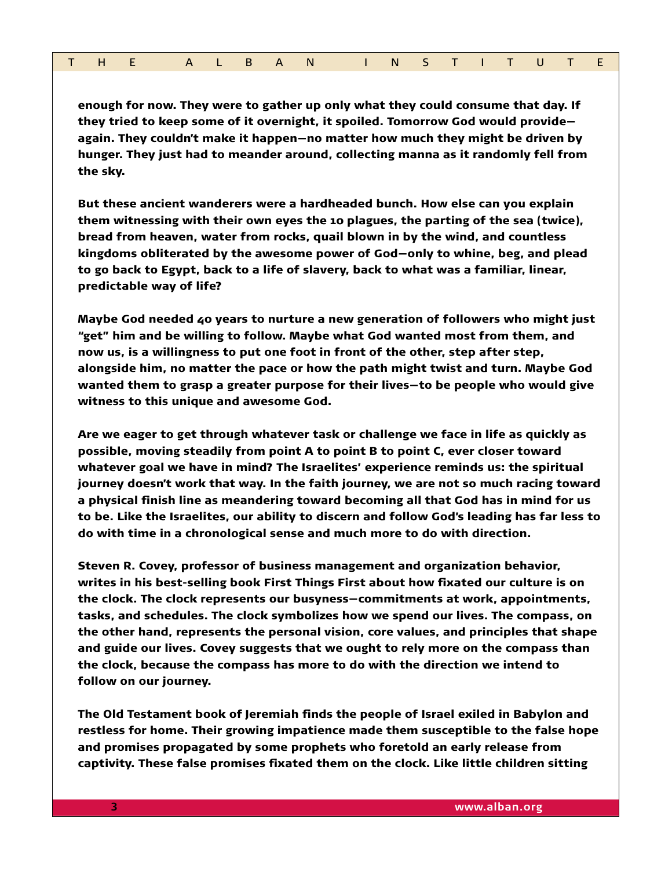|  |  |  |  |  |  |  | THE ALBAN INSTITUTE |  |  |  |  |  |  |  |  |  |
|--|--|--|--|--|--|--|---------------------|--|--|--|--|--|--|--|--|--|
|--|--|--|--|--|--|--|---------------------|--|--|--|--|--|--|--|--|--|

enough for now. They were to gather up only what they could consume that day. If they tried to keep some of it overnight, it spoiled. Tomorrow God would provide again. They couldn't make it happen—no matter how much they might be driven by hunger. They just had to meander around, collecting manna as it randomly fell from the sky.

But these ancient wanderers were a hardheaded bunch. How else can you explain them witnessing with their own eyes the 10 plagues, the parting of the sea (twice), bread from heaven, water from rocks, quail blown in by the wind, and countless kingdoms obliterated by the awesome power of God—only to whine, beg, and plead to go back to Egypt, back to a life of slavery, back to what was a familiar, linear, predictable way of life?

Maybe God needed 40 years to nurture a new generation of followers who might just "get" him and be willing to follow. Maybe what God wanted most from them, and now us, is a willingness to put one foot in front of the other, step after step, alongside him, no matter the pace or how the path might twist and turn. Maybe God wanted them to grasp a greater purpose for their lives—to be people who would give witness to this unique and awesome God.

Are we eager to get through whatever task or challenge we face in life as quickly as possible, moving steadily from point A to point B to point C, ever closer toward whatever goal we have in mind? The Israelites' experience reminds us: the spiritual journey doesn't work that way. In the faith journey, we are not so much racing toward a physical finish line as meandering toward becoming all that God has in mind for us to be. Like the Israelites, our ability to discern and follow God's leading has far less to do with time in a chronological sense and much more to do with direction.

Steven R. Covey, professor of business management and organization behavior, writes in his best-selling book First Things First about how fixated our culture is on the clock. The clock represents our busyness—commitments at work, appointments, tasks, and schedules. The clock symbolizes how we spend our lives. The compass, on the other hand, represents the personal vision, core values, and principles that shape and guide our lives. Covey suggests that we ought to rely more on the compass than the clock, because the compass has more to do with the direction we intend to follow on our journey.

The Old Testament book of Jeremiah finds the people of Israel exiled in Babylon and restless for home. Their growing impatience made them susceptible to the false hope and promises propagated by some prophets who foretold an early release from captivity. These false promises fixated them on the clock. Like little children sitting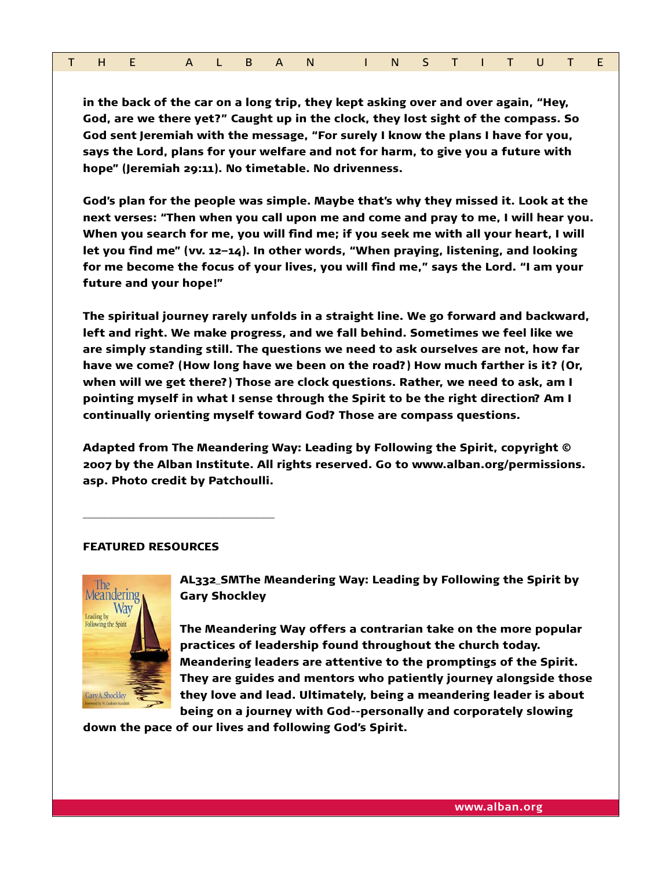| THE ALBAN INSTITUTE |  |  |  |  |  |  |  |  |  |  |  |  |  |  |  |  |  |
|---------------------|--|--|--|--|--|--|--|--|--|--|--|--|--|--|--|--|--|
|---------------------|--|--|--|--|--|--|--|--|--|--|--|--|--|--|--|--|--|

in the back of the car on a long trip, they kept asking over and over again, "Hey, God, are we there yet?" Caught up in the clock, they lost sight of the compass. So God sent Jeremiah with the message, "For surely I know the plans I have for you, says the Lord, plans for your welfare and not for harm, to give you a future with hope" (Jeremiah 29:11). No timetable. No drivenness.

God's plan for the people was simple. Maybe that's why they missed it. Look at the next verses: "Then when you call upon me and come and pray to me, I will hear you. When you search for me, you will find me; if you seek me with all your heart, I will let you find me" (vv. 12–14). In other words, "When praying, listening, and looking for me become the focus of your lives, you will find me," says the Lord. "I am your future and your hope!"

The spiritual journey rarely unfolds in a straight line. We go forward and backward, left and right. We make progress, and we fall behind. Sometimes we feel like we are simply standing still. The questions we need to ask ourselves are not, how far have we come? (How long have we been on the road?) How much farther is it? (Or, when will we get there?) Those are clock questions. Rather, we need to ask, am I pointing myself in what I sense through the Spirit to be the right direction? Am I continually orienting myself toward God? Those are compass questions.

Adapted from The Meandering Way: Leading by Following the Spirit, copyright © 2007 by the Alban Institute. All rights reserved. Go to www.alban.org/permissions. asp. Photo credit by Patchoulli.

## FEATURED RESOURCES

\_\_\_\_\_\_\_\_\_\_\_\_\_\_\_\_\_\_\_\_\_\_\_\_\_\_\_\_\_\_\_\_\_\_\_\_\_\_\_



AL332\_SMThe Meandering Way: Leading by Following the Spirit by Gary Shockley

The Meandering Way offers a contrarian take on the more popular practices of leadership found throughout the church today. Meandering leaders are attentive to the promptings of the Spirit. They are guides and mentors who patiently journey alongside those they love and lead. Ultimately, being a meandering leader is about being on a journey with God--personally and corporately slowing

down the pace of our lives and following God's Spirit.